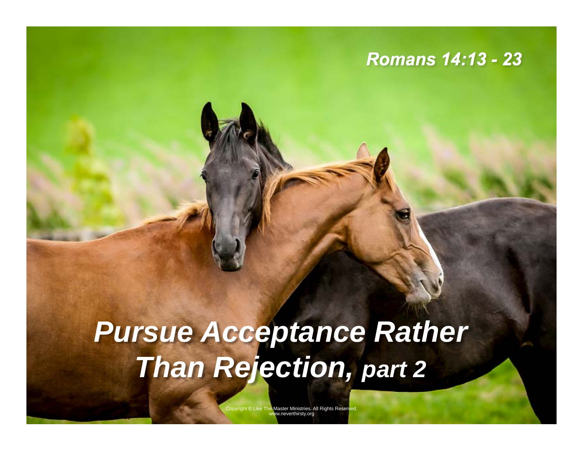#### *Romans 14:13 - 23*

# *Pursue Acceptance Rather Than Rejection, part 2*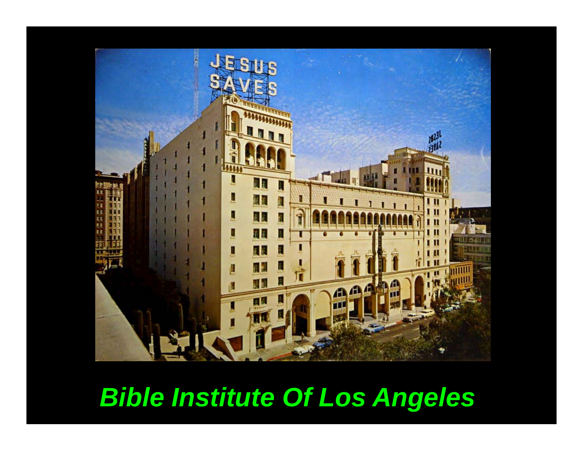

### *Bible Institute Of Los Angeles*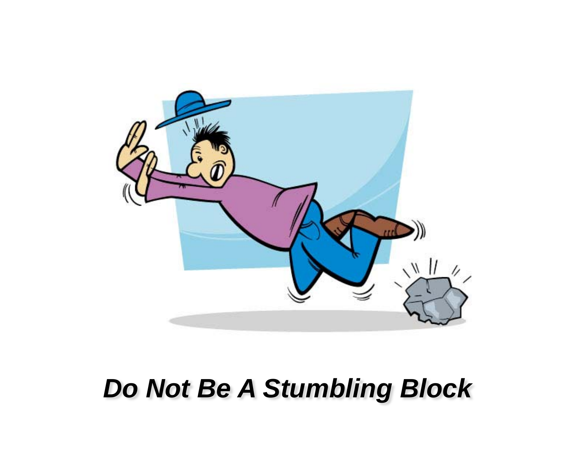

## *Do Not Be A Stumbling Block*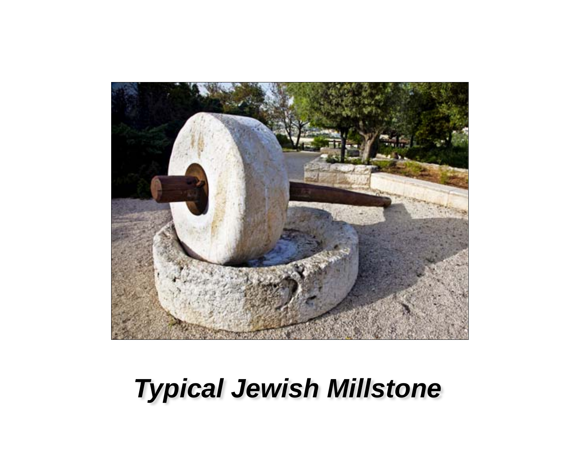

## *Typical Jewish Millstone*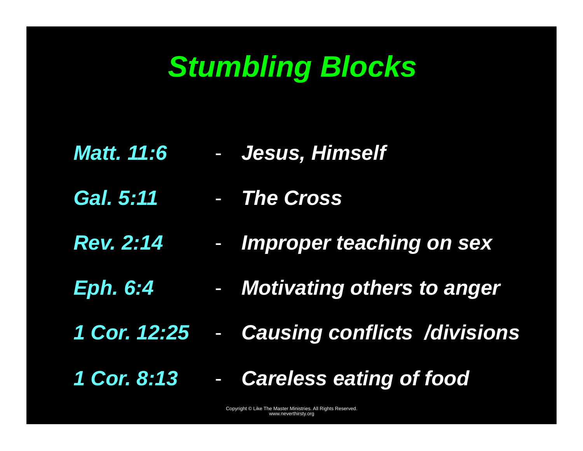# *Stumbling Blocks*

- *Matt. 11:6*  -*Jesus, Himself*
- *Gal. 5:11 The Cross*
- *Rev. 2:14*  -*Improper teaching on sex*
- *Eph. 6:4 Motivating others to anger*
- *1 Cor. 12:25*  -*Causing conflicts /divisions*
- *1 Cor. 8:13*  -*Careless eating of food*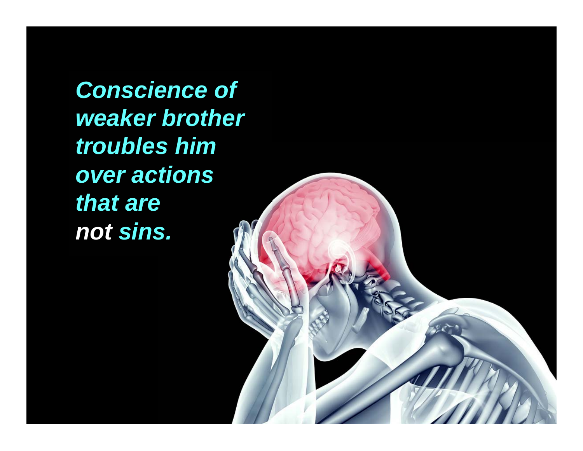*Conscience of weaker brother troubles him over actions that are not sins.* 

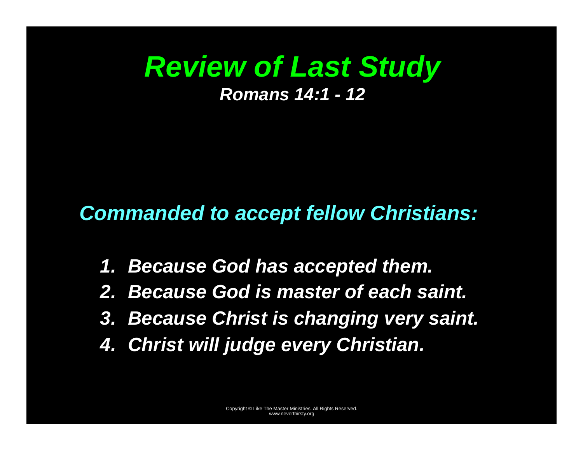### *Review of Last Study Romans 14:1 - 12*

#### *Commanded to accept fellow Christians:*

- *1. Because God has accepted them.*
- *2. Because God is master of each saint.*
- *3. Because Christ is changing very saint.*
- *4. Christ will judge every Christian.*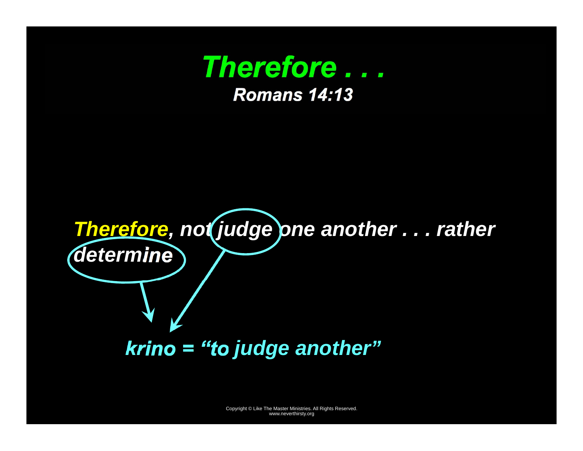

*krino = "to judge another"*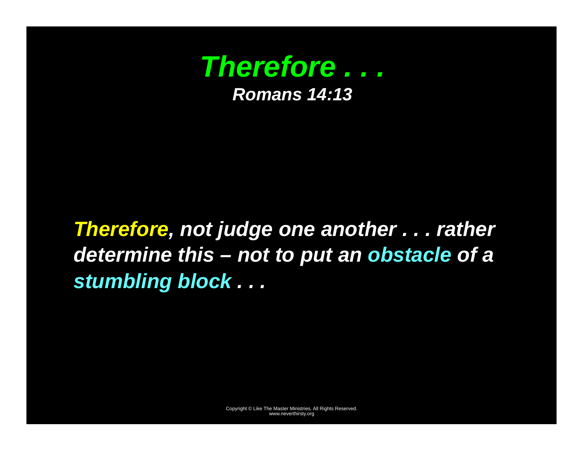

### *Therefore, not judge one another . . . rather determine this – not to put an obstacle of a stumbling block . . .*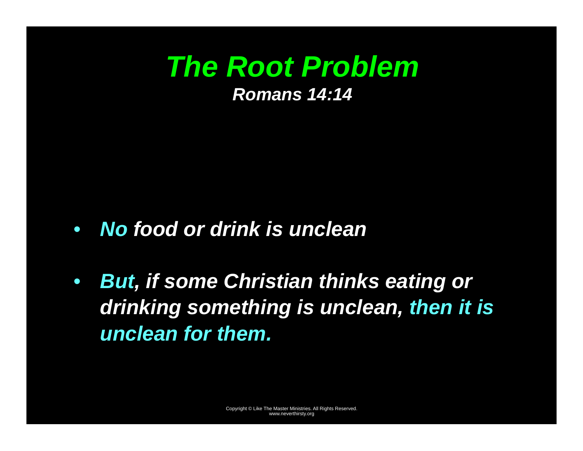### *The Root Problem Romans 14:14*

- *No food or drink is unclean*
- $\bullet$  *But, if some Christian thinks eating or drinking something is unclean, then it is unclean for them.*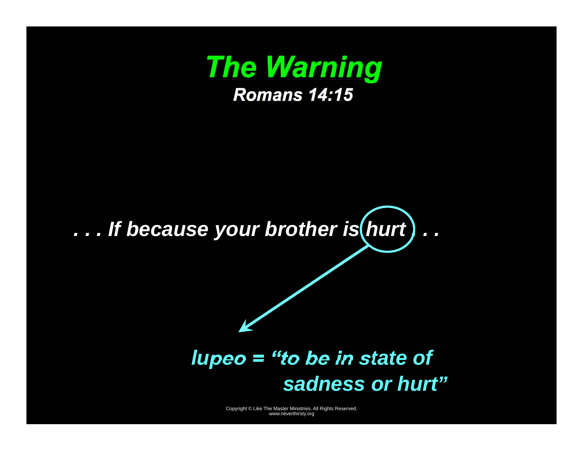

## ... If because your brother is (hurt)...

#### *lupeo = "to be in state of sadness or hurt"*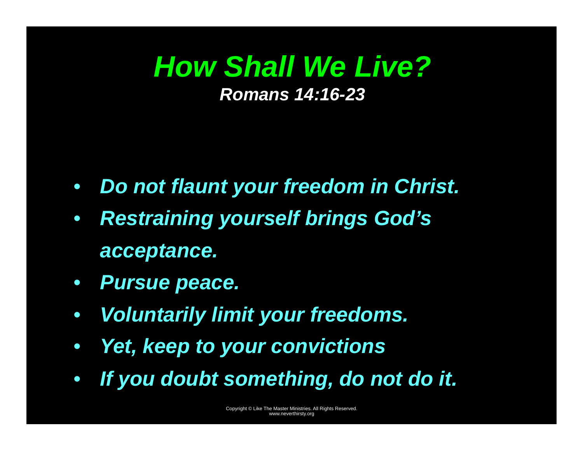### *How Shall We Live? Romans 14:16-23*

- *Do not flaunt your freedom in Christ.*
- $\bullet$  *Restraining yourself brings God's acceptance.*
- *Pursue peace.*
- $\bullet$ *Voluntarily limit your freedoms.*
- $\bullet$ *Yet, keep to your convictions*
- •*If you doubt something, do not do it.*